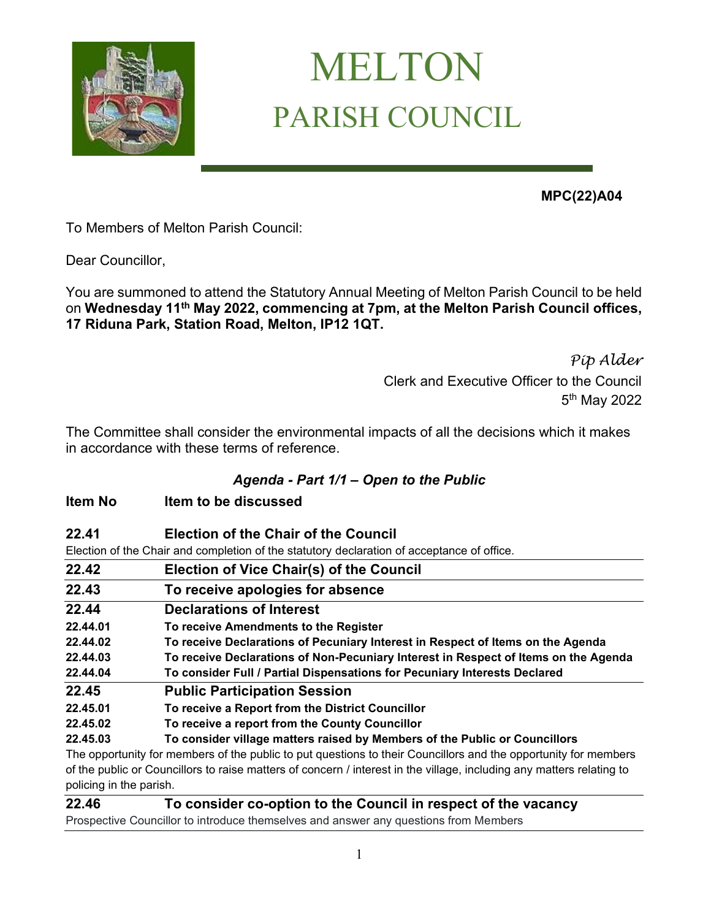

## MELTON PARISH COUNCIL

**MPC(22)A04** 

To Members of Melton Parish Council:

Dear Councillor,

You are summoned to attend the Statutory Annual Meeting of Melton Parish Council to be held on **Wednesday 11th May 2022, commencing at 7pm, at the Melton Parish Council offices, 17 Riduna Park, Station Road, Melton, IP12 1QT.** 

> *Pip Alder* Clerk and Executive Officer to the Council 5<sup>th</sup> May 2022

The Committee shall consider the environmental impacts of all the decisions which it makes in accordance with these terms of reference.

## *Agenda - Part 1/1 – Open to the Public*

- **Item No Item to be discussed**
- **22.41 Election of the Chair of the Council**

Election of the Chair and completion of the statutory declaration of acceptance of office.

| 22.42    | <b>Election of Vice Chair(s) of the Council</b>                                                                 |
|----------|-----------------------------------------------------------------------------------------------------------------|
| 22.43    | To receive apologies for absence                                                                                |
| 22.44    | <b>Declarations of Interest</b>                                                                                 |
| 22.44.01 | To receive Amendments to the Register                                                                           |
| 22.44.02 | To receive Declarations of Pecuniary Interest in Respect of Items on the Agenda                                 |
| 22.44.03 | To receive Declarations of Non-Pecuniary Interest in Respect of Items on the Agenda                             |
| 22.44.04 | To consider Full / Partial Dispensations for Pecuniary Interests Declared                                       |
| 22.45    | <b>Public Participation Session</b>                                                                             |
| 22.45.01 | To receive a Report from the District Councillor                                                                |
| 22.45.02 | To receive a report from the County Councillor                                                                  |
| 22.45.03 | To consider village matters raised by Members of the Public or Councillors                                      |
|          | The opportunity for members of the public to put questions to their Councillors and the opportunity for members |
|          |                                                                                                                 |

of the public or Councillors to raise matters of concern / interest in the village, including any matters relating to policing in the parish.

**22.46 To consider co-option to the Council in respect of the vacancy**

Prospective Councillor to introduce themselves and answer any questions from Members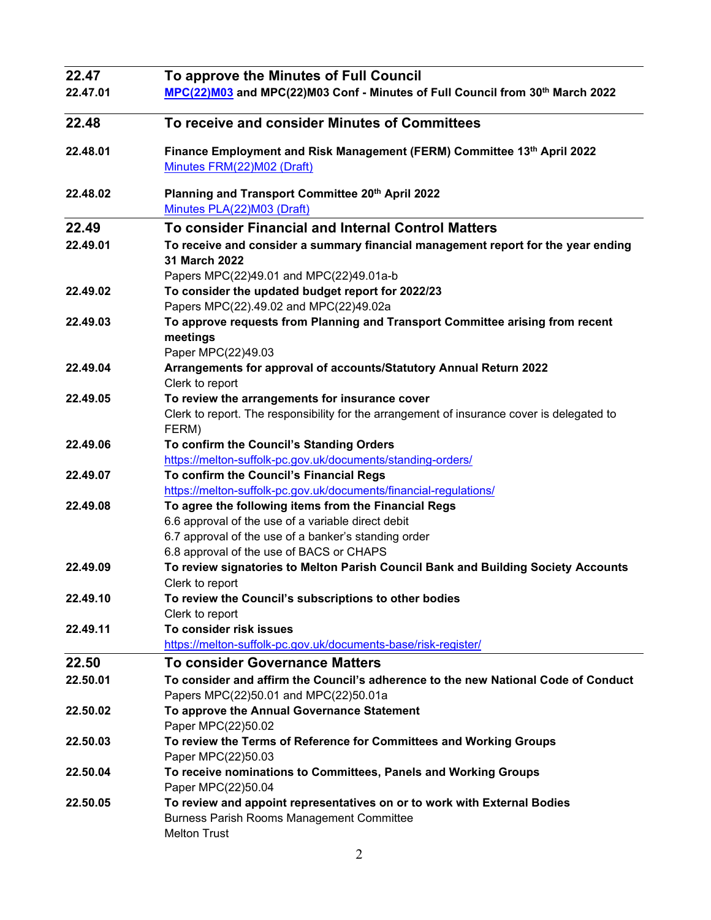| 22.47    | To approve the Minutes of Full Council                                                                                                                                                                         |
|----------|----------------------------------------------------------------------------------------------------------------------------------------------------------------------------------------------------------------|
| 22.47.01 | MPC(22)M03 and MPC(22)M03 Conf - Minutes of Full Council from 30th March 2022                                                                                                                                  |
| 22.48    | To receive and consider Minutes of Committees                                                                                                                                                                  |
| 22.48.01 | Finance Employment and Risk Management (FERM) Committee 13th April 2022<br>Minutes FRM(22)M02 (Draft)                                                                                                          |
| 22.48.02 | Planning and Transport Committee 20th April 2022<br>Minutes PLA(22)M03 (Draft)                                                                                                                                 |
| 22.49    | <b>To consider Financial and Internal Control Matters</b>                                                                                                                                                      |
| 22.49.01 | To receive and consider a summary financial management report for the year ending<br>31 March 2022<br>Papers MPC(22)49.01 and MPC(22)49.01a-b                                                                  |
| 22.49.02 | To consider the updated budget report for 2022/23<br>Papers MPC(22).49.02 and MPC(22)49.02a                                                                                                                    |
| 22.49.03 | To approve requests from Planning and Transport Committee arising from recent<br>meetings<br>Paper MPC(22)49.03                                                                                                |
| 22.49.04 | Arrangements for approval of accounts/Statutory Annual Return 2022<br>Clerk to report                                                                                                                          |
| 22.49.05 | To review the arrangements for insurance cover<br>Clerk to report. The responsibility for the arrangement of insurance cover is delegated to<br>FERM)                                                          |
| 22.49.06 | To confirm the Council's Standing Orders<br>https://melton-suffolk-pc.gov.uk/documents/standing-orders/                                                                                                        |
| 22.49.07 | To confirm the Council's Financial Regs<br>https://melton-suffolk-pc.gov.uk/documents/financial-regulations/                                                                                                   |
| 22.49.08 | To agree the following items from the Financial Regs<br>6.6 approval of the use of a variable direct debit<br>6.7 approval of the use of a banker's standing order<br>6.8 approval of the use of BACS or CHAPS |
| 22.49.09 | To review signatories to Melton Parish Council Bank and Building Society Accounts<br>Clerk to report                                                                                                           |
| 22.49.10 | To review the Council's subscriptions to other bodies<br>Clerk to report                                                                                                                                       |
| 22.49.11 | To consider risk issues<br>https://melton-suffolk-pc.gov.uk/documents-base/risk-register/                                                                                                                      |
| 22.50    | <b>To consider Governance Matters</b>                                                                                                                                                                          |
| 22.50.01 | To consider and affirm the Council's adherence to the new National Code of Conduct<br>Papers MPC(22)50.01 and MPC(22)50.01a                                                                                    |
| 22.50.02 | To approve the Annual Governance Statement<br>Paper MPC(22)50.02                                                                                                                                               |
| 22.50.03 | To review the Terms of Reference for Committees and Working Groups<br>Paper MPC(22)50.03                                                                                                                       |
| 22.50.04 | To receive nominations to Committees, Panels and Working Groups<br>Paper MPC(22)50.04                                                                                                                          |
| 22.50.05 | To review and appoint representatives on or to work with External Bodies<br><b>Burness Parish Rooms Management Committee</b><br><b>Melton Trust</b>                                                            |